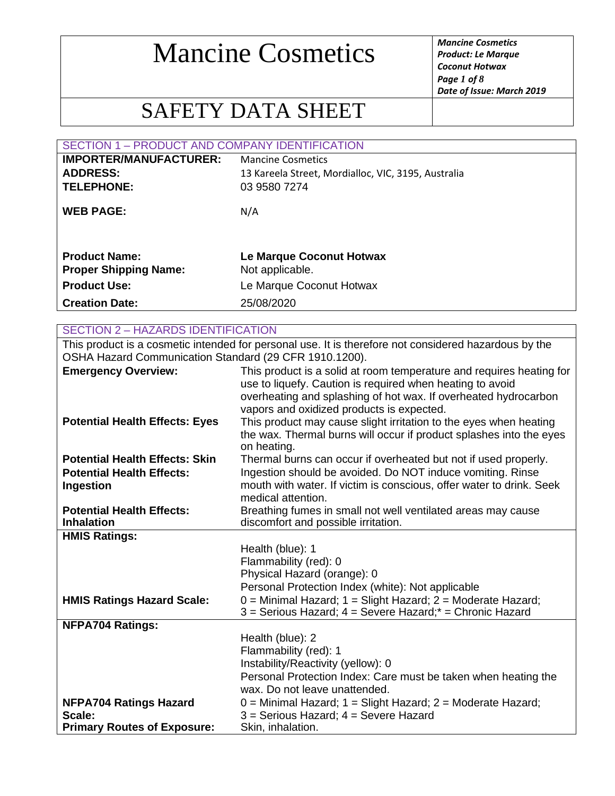*Product: Le Marque Coconut Hotwax Page 1 of 8 Date of Issue: March 2019*

### SAFETY DATA SHEET

| SECTION 1 - PRODUCT AND COMPANY IDENTIFICATION       |                                                     |  |
|------------------------------------------------------|-----------------------------------------------------|--|
| <b>IMPORTER/MANUFACTURER:</b>                        | <b>Mancine Cosmetics</b>                            |  |
| <b>ADDRESS:</b>                                      | 13 Kareela Street, Mordialloc, VIC, 3195, Australia |  |
| <b>TELEPHONE:</b>                                    | 03 9580 7274                                        |  |
| <b>WEB PAGE:</b>                                     | N/A                                                 |  |
| <b>Product Name:</b><br><b>Proper Shipping Name:</b> | Le Marque Coconut Hotwax<br>Not applicable.         |  |
| <b>Product Use:</b>                                  | Le Marque Coconut Hotwax                            |  |
| <b>Creation Date:</b>                                | 25/08/2020                                          |  |
|                                                      |                                                     |  |
| <b>SECTION 2 - HAZARDS IDENTIFICATION</b>            |                                                     |  |

This product is a cosmetic intended for personal use. It is therefore not considered hazardous by the OSHA Hazard Communication Standard (29 CFR 1910.1200).

| <b>Emergency Overview:</b>            | This product is a solid at room temperature and requires heating for                                         |
|---------------------------------------|--------------------------------------------------------------------------------------------------------------|
|                                       | use to liquefy. Caution is required when heating to avoid                                                    |
|                                       | overheating and splashing of hot wax. If overheated hydrocarbon<br>vapors and oxidized products is expected. |
| <b>Potential Health Effects: Eyes</b> | This product may cause slight irritation to the eyes when heating                                            |
|                                       | the wax. Thermal burns will occur if product splashes into the eyes                                          |
|                                       | on heating.                                                                                                  |
| <b>Potential Health Effects: Skin</b> | Thermal burns can occur if overheated but not if used properly.                                              |
| <b>Potential Health Effects:</b>      | Ingestion should be avoided. Do NOT induce vomiting. Rinse                                                   |
| Ingestion                             | mouth with water. If victim is conscious, offer water to drink. Seek                                         |
|                                       | medical attention.                                                                                           |
| <b>Potential Health Effects:</b>      | Breathing fumes in small not well ventilated areas may cause                                                 |
| <b>Inhalation</b>                     | discomfort and possible irritation.                                                                          |
| <b>HMIS Ratings:</b>                  |                                                                                                              |
|                                       | Health (blue): 1                                                                                             |
|                                       | Flammability (red): 0                                                                                        |
|                                       | Physical Hazard (orange): 0                                                                                  |
|                                       | Personal Protection Index (white): Not applicable                                                            |
| <b>HMIS Ratings Hazard Scale:</b>     | $0 =$ Minimal Hazard; $1 =$ Slight Hazard; $2 =$ Moderate Hazard;                                            |
|                                       | 3 = Serious Hazard; 4 = Severe Hazard;* = Chronic Hazard                                                     |
| <b>NFPA704 Ratings:</b>               |                                                                                                              |
|                                       | Health (blue): 2                                                                                             |
|                                       | Flammability (red): 1                                                                                        |
|                                       | Instability/Reactivity (yellow): 0                                                                           |
|                                       | Personal Protection Index: Care must be taken when heating the                                               |
|                                       | wax. Do not leave unattended.                                                                                |
| <b>NFPA704 Ratings Hazard</b>         | $0 =$ Minimal Hazard; $1 =$ Slight Hazard; $2 =$ Moderate Hazard;                                            |
| Scale:                                | 3 = Serious Hazard; 4 = Severe Hazard                                                                        |
| <b>Primary Routes of Exposure:</b>    | Skin, inhalation.                                                                                            |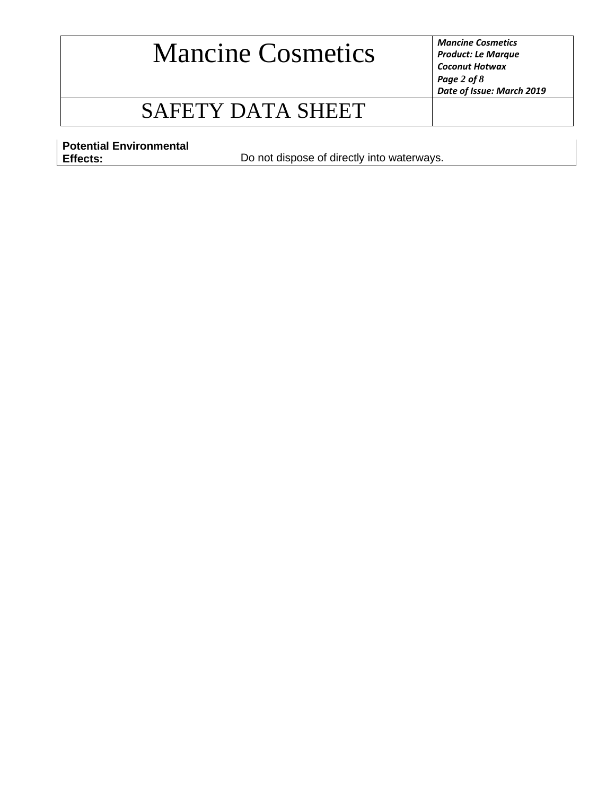*Product: Le Marque Coconut Hotwax Page 2 of 8 Date of Issue: March 2019*

### SAFETY DATA SHEET

**Potential Environmental** 

**Effects:** Do not dispose of directly into waterways.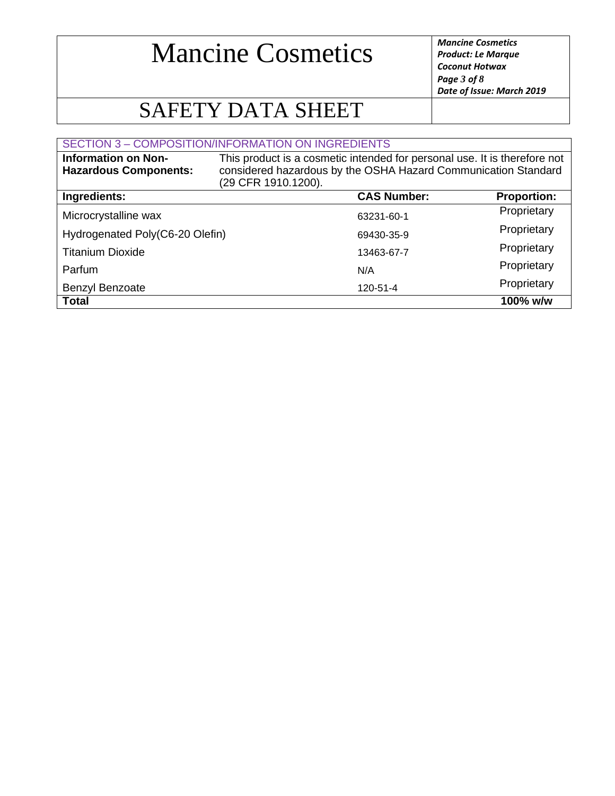*Product: Le Marque Coconut Hotwax Page 3 of 8 Date of Issue: March 2019*

### SAFETY DATA SHEET

#### SECTION 3 – COMPOSITION/INFORMATION ON INGREDIENTS

| <b>Information on Non-</b><br><b>Hazardous Components:</b> | This product is a cosmetic intended for personal use. It is therefore not<br>considered hazardous by the OSHA Hazard Communication Standard<br>(29 CFR 1910.1200). |                    |                    |
|------------------------------------------------------------|--------------------------------------------------------------------------------------------------------------------------------------------------------------------|--------------------|--------------------|
| Ingredients:                                               |                                                                                                                                                                    | <b>CAS Number:</b> | <b>Proportion:</b> |
| Microcrystalline wax                                       |                                                                                                                                                                    | 63231-60-1         | Proprietary        |
| Hydrogenated Poly(C6-20 Olefin)                            |                                                                                                                                                                    | 69430-35-9         | Proprietary        |
| <b>Titanium Dioxide</b>                                    |                                                                                                                                                                    | 13463-67-7         | Proprietary        |
| Parfum                                                     |                                                                                                                                                                    | N/A                | Proprietary        |
| Benzyl Benzoate                                            |                                                                                                                                                                    | 120-51-4           | Proprietary        |
| <b>Total</b>                                               |                                                                                                                                                                    |                    | 100% w/w           |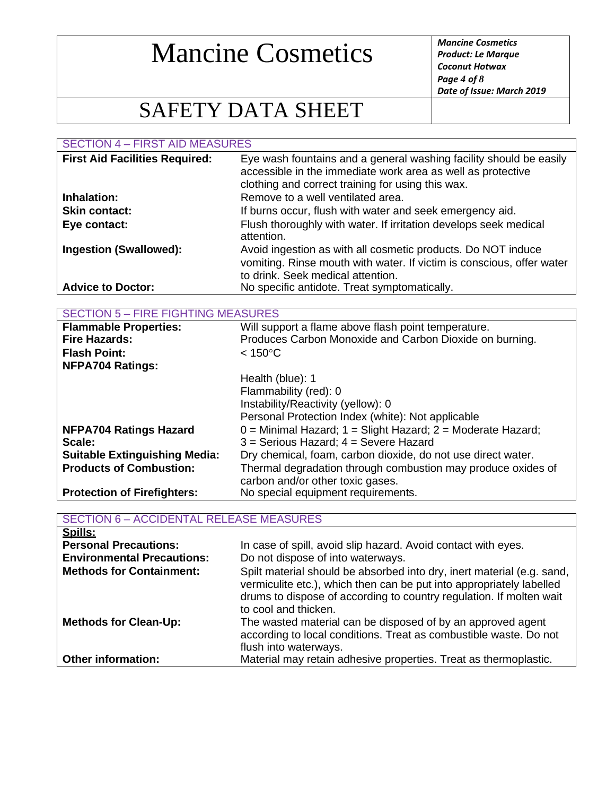*Product: Le Marque Coconut Hotwax Page 4 of 8 Date of Issue: March 2019*

### SAFETY DATA SHEET

SECTION 4 – FIRST AID MEASURES

| <b>First Aid Facilities Required:</b> | Eye wash fountains and a general washing facility should be easily<br>accessible in the immediate work area as well as protective<br>clothing and correct training for using this wax. |
|---------------------------------------|----------------------------------------------------------------------------------------------------------------------------------------------------------------------------------------|
| Inhalation:                           | Remove to a well ventilated area.                                                                                                                                                      |
| <b>Skin contact:</b>                  | If burns occur, flush with water and seek emergency aid.                                                                                                                               |
| Eye contact:                          | Flush thoroughly with water. If irritation develops seek medical<br>attention.                                                                                                         |
| <b>Ingestion (Swallowed):</b>         | Avoid ingestion as with all cosmetic products. Do NOT induce<br>vomiting. Rinse mouth with water. If victim is conscious, offer water<br>to drink. Seek medical attention.             |
| <b>Advice to Doctor:</b>              | No specific antidote. Treat symptomatically.                                                                                                                                           |

| <b>SECTION 5 – FIRE FIGHTING MEASURES</b> |  |  |
|-------------------------------------------|--|--|
|-------------------------------------------|--|--|

| <b>Flammable Properties:</b>         | Will support a flame above flash point temperature.               |  |
|--------------------------------------|-------------------------------------------------------------------|--|
| <b>Fire Hazards:</b>                 | Produces Carbon Monoxide and Carbon Dioxide on burning.           |  |
| <b>Flash Point:</b>                  | $< 150^{\circ}$ C                                                 |  |
| <b>NFPA704 Ratings:</b>              |                                                                   |  |
|                                      | Health (blue): 1                                                  |  |
|                                      | Flammability (red): 0                                             |  |
|                                      | Instability/Reactivity (yellow): 0                                |  |
|                                      | Personal Protection Index (white): Not applicable                 |  |
| <b>NFPA704 Ratings Hazard</b>        | $0 =$ Minimal Hazard; $1 =$ Slight Hazard; $2 =$ Moderate Hazard; |  |
| Scale:                               | $3$ = Serious Hazard; $4$ = Severe Hazard                         |  |
| <b>Suitable Extinguishing Media:</b> | Dry chemical, foam, carbon dioxide, do not use direct water.      |  |
| <b>Products of Combustion:</b>       | Thermal degradation through combustion may produce oxides of      |  |
|                                      | carbon and/or other toxic gases.                                  |  |
| <b>Protection of Firefighters:</b>   | No special equipment requirements.                                |  |

| <b>SECTION 6 - ACCIDENTAL RELEASE MEASURES</b> |                                                                                                                                                                                                                                               |  |
|------------------------------------------------|-----------------------------------------------------------------------------------------------------------------------------------------------------------------------------------------------------------------------------------------------|--|
| Spills:                                        |                                                                                                                                                                                                                                               |  |
| <b>Personal Precautions:</b>                   | In case of spill, avoid slip hazard. Avoid contact with eyes.                                                                                                                                                                                 |  |
| <b>Environmental Precautions:</b>              | Do not dispose of into waterways.                                                                                                                                                                                                             |  |
| <b>Methods for Containment:</b>                | Spilt material should be absorbed into dry, inert material (e.g. sand,<br>vermiculite etc.), which then can be put into appropriately labelled<br>drums to dispose of according to country regulation. If molten wait<br>to cool and thicken. |  |
| <b>Methods for Clean-Up:</b>                   | The wasted material can be disposed of by an approved agent<br>according to local conditions. Treat as combustible waste. Do not<br>flush into waterways.                                                                                     |  |
| <b>Other information:</b>                      | Material may retain adhesive properties. Treat as thermoplastic.                                                                                                                                                                              |  |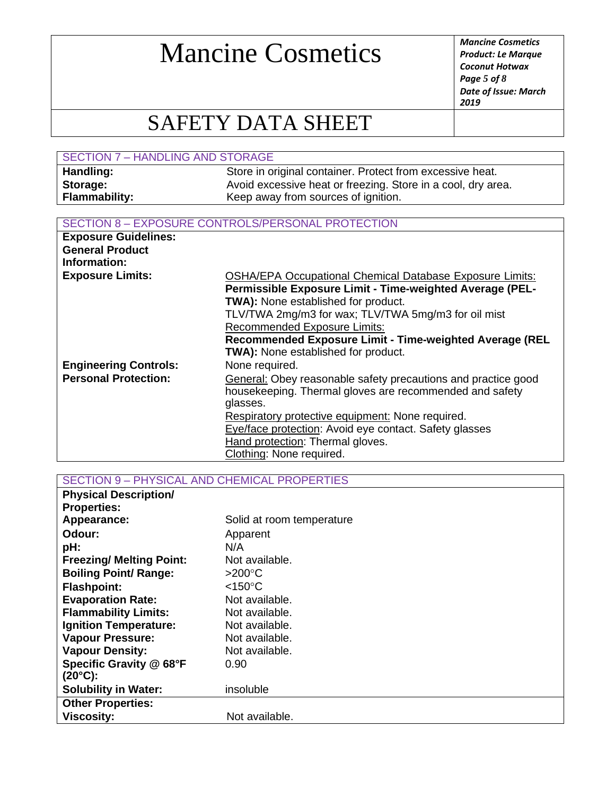*Product: Le Marque Coconut Hotwax Page 5 of 8 Date of Issue: March 2019*

### SAFETY DATA SHEET

| <b>SECTION 7 - HANDLING AND STORAGE</b> |                                                              |
|-----------------------------------------|--------------------------------------------------------------|
| Handling:                               | Store in original container. Protect from excessive heat.    |
| Storage:                                | Avoid excessive heat or freezing. Store in a cool, dry area. |
| <b>Flammability:</b>                    | Keep away from sources of ignition.                          |

#### SECTION 8 – EXPOSURE CONTROLS/PERSONAL PROTECTION

| <b>Exposure Guidelines:</b>            |                                                                                                                                                                                                                                                                         |
|----------------------------------------|-------------------------------------------------------------------------------------------------------------------------------------------------------------------------------------------------------------------------------------------------------------------------|
| <b>General Product</b><br>Information: |                                                                                                                                                                                                                                                                         |
| <b>Exposure Limits:</b>                | <b>OSHA/EPA Occupational Chemical Database Exposure Limits:</b><br>Permissible Exposure Limit - Time-weighted Average (PEL-<br><b>TWA):</b> None established for product.<br>TLV/TWA 2mg/m3 for wax; TLV/TWA 5mg/m3 for oil mist<br><b>Recommended Exposure Limits:</b> |
|                                        | Recommended Exposure Limit - Time-weighted Average (REL                                                                                                                                                                                                                 |
|                                        | TWA): None established for product.                                                                                                                                                                                                                                     |
| <b>Engineering Controls:</b>           | None required.                                                                                                                                                                                                                                                          |
| <b>Personal Protection:</b>            | General: Obey reasonable safety precautions and practice good                                                                                                                                                                                                           |
|                                        | housekeeping. Thermal gloves are recommended and safety                                                                                                                                                                                                                 |
|                                        | glasses.                                                                                                                                                                                                                                                                |
|                                        | Respiratory protective equipment: None required.                                                                                                                                                                                                                        |
|                                        | Eye/face protection: Avoid eye contact. Safety glasses                                                                                                                                                                                                                  |
|                                        | Hand protection: Thermal gloves.                                                                                                                                                                                                                                        |
|                                        | Clothing: None required.                                                                                                                                                                                                                                                |

SECTION 9 – PHYSICAL AND CHEMICAL PROPERTIES

| <b>Physical Description/</b>    |                           |
|---------------------------------|---------------------------|
| <b>Properties:</b>              |                           |
| Appearance:                     | Solid at room temperature |
| Odour:                          | Apparent                  |
| pH:                             | N/A                       |
| <b>Freezing/ Melting Point:</b> | Not available.            |
| <b>Boiling Point/ Range:</b>    | $>200^{\circ}$ C          |
| <b>Flashpoint:</b>              | $<$ 150 $^{\circ}$ C      |
| <b>Evaporation Rate:</b>        | Not available.            |
| <b>Flammability Limits:</b>     | Not available.            |
| <b>Ignition Temperature:</b>    | Not available.            |
| <b>Vapour Pressure:</b>         | Not available.            |
| <b>Vapour Density:</b>          | Not available.            |
| Specific Gravity @ 68°F         | 0.90                      |
| $(20^{\circ}C)$ :               |                           |
| <b>Solubility in Water:</b>     | insoluble                 |
| <b>Other Properties:</b>        |                           |
| <b>Viscosity:</b>               | Not available.            |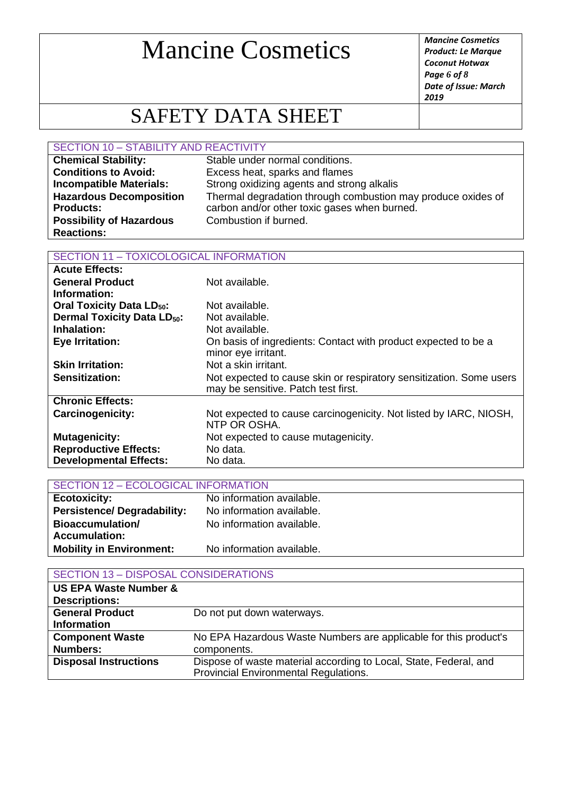*Product: Le Marque Coconut Hotwax Page 6 of 8 Date of Issue: March 2019*

### SAFETY DATA SHEET

#### SECTION 10 – STABILITY AND REACTIVITY

| <b>Chemical Stability:</b>      | Stable under normal conditions.                              |
|---------------------------------|--------------------------------------------------------------|
| <b>Conditions to Avoid:</b>     | Excess heat, sparks and flames                               |
| <b>Incompatible Materials:</b>  | Strong oxidizing agents and strong alkalis                   |
| <b>Hazardous Decomposition</b>  | Thermal degradation through combustion may produce oxides of |
| <b>Products:</b>                | carbon and/or other toxic gases when burned.                 |
| <b>Possibility of Hazardous</b> | Combustion if burned.                                        |
| <b>Reactions:</b>               |                                                              |

#### SECTION 11 – TOXICOLOGICAL INFORMATION

| <b>Acute Effects:</b>                        |                                                                                                            |
|----------------------------------------------|------------------------------------------------------------------------------------------------------------|
| <b>General Product</b>                       | Not available.                                                                                             |
| Information:                                 |                                                                                                            |
| <b>Oral Toxicity Data LD<sub>50</sub>:</b>   | Not available.                                                                                             |
| <b>Dermal Toxicity Data LD<sub>50</sub>:</b> | Not available.                                                                                             |
| Inhalation:                                  | Not available.                                                                                             |
| <b>Eye Irritation:</b>                       | On basis of ingredients: Contact with product expected to be a<br>minor eye irritant.                      |
| <b>Skin Irritation:</b>                      | Not a skin irritant.                                                                                       |
| <b>Sensitization:</b>                        | Not expected to cause skin or respiratory sensitization. Some users<br>may be sensitive. Patch test first. |
| <b>Chronic Effects:</b>                      |                                                                                                            |
| <b>Carcinogenicity:</b>                      | Not expected to cause carcinogenicity. Not listed by IARC, NIOSH,<br>NTP OR OSHA.                          |
| <b>Mutagenicity:</b>                         | Not expected to cause mutagenicity.                                                                        |
| <b>Reproductive Effects:</b>                 | No data.                                                                                                   |
| <b>Developmental Effects:</b>                | No data.                                                                                                   |

| SECTION 12 - ECOLOGICAL INFORMATION |                           |  |
|-------------------------------------|---------------------------|--|
| <b>Ecotoxicity:</b>                 | No information available. |  |
| <b>Persistence/Degradability:</b>   | No information available. |  |
| <b>Bioaccumulation/</b>             | No information available. |  |
| <b>Accumulation:</b>                |                           |  |
| <b>Mobility in Environment:</b>     | No information available. |  |

#### SECTION 13 – DISPOSAL CONSIDERATIONS

| <b>US EPA Waste Number &amp;</b> |                                                                                                            |
|----------------------------------|------------------------------------------------------------------------------------------------------------|
| <b>Descriptions:</b>             |                                                                                                            |
| <b>General Product</b>           | Do not put down waterways.                                                                                 |
| <b>Information</b>               |                                                                                                            |
| <b>Component Waste</b>           | No EPA Hazardous Waste Numbers are applicable for this product's                                           |
| <b>Numbers:</b>                  | components.                                                                                                |
| <b>Disposal Instructions</b>     | Dispose of waste material according to Local, State, Federal, and<br>Provincial Environmental Regulations. |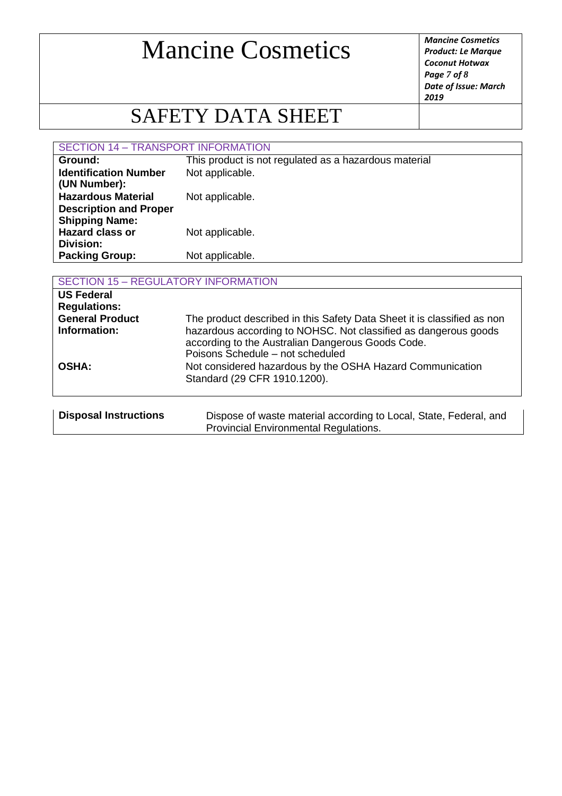*Product: Le Marque Coconut Hotwax Page 7 of 8 Date of Issue: March 2019*

### SAFETY DATA SHEET

SECTION 14 – TRANSPORT INFORMATION

| Ground:                       | This product is not regulated as a hazardous material |
|-------------------------------|-------------------------------------------------------|
| <b>Identification Number</b>  | Not applicable.                                       |
| (UN Number):                  |                                                       |
| <b>Hazardous Material</b>     | Not applicable.                                       |
| <b>Description and Proper</b> |                                                       |
| <b>Shipping Name:</b>         |                                                       |
| <b>Hazard class or</b>        | Not applicable.                                       |
| Division:                     |                                                       |
| <b>Packing Group:</b>         | Not applicable.                                       |
|                               |                                                       |

| <b>SECTION 15 - REGULATORY INFORMATION</b>                                         |                                                                                                                                                                                                                                     |  |
|------------------------------------------------------------------------------------|-------------------------------------------------------------------------------------------------------------------------------------------------------------------------------------------------------------------------------------|--|
| <b>US Federal</b><br><b>Regulations:</b><br><b>General Product</b><br>Information: | The product described in this Safety Data Sheet it is classified as non<br>hazardous according to NOHSC. Not classified as dangerous goods<br>according to the Australian Dangerous Goods Code.<br>Poisons Schedule - not scheduled |  |
| <b>OSHA:</b>                                                                       | Not considered hazardous by the OSHA Hazard Communication<br>Standard (29 CFR 1910.1200).                                                                                                                                           |  |
| <b>Disposal Instructions</b>                                                       | Dispose of waste material according to Local, State, Federal, and<br><b>Provincial Environmental Regulations.</b>                                                                                                                   |  |